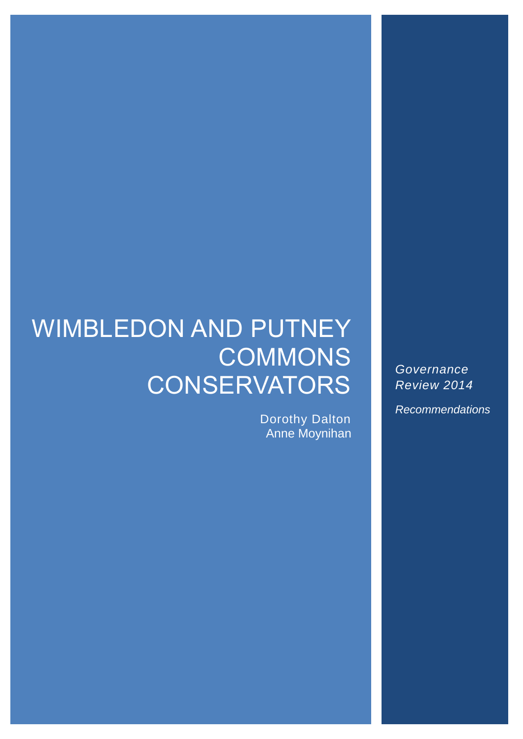# WIMBLEDON AND PUTNEY **COMMONS CONSERVATORS**

Dorothy Dalton Anne Moynihan

*Governance Review 2014*

*Recommendations*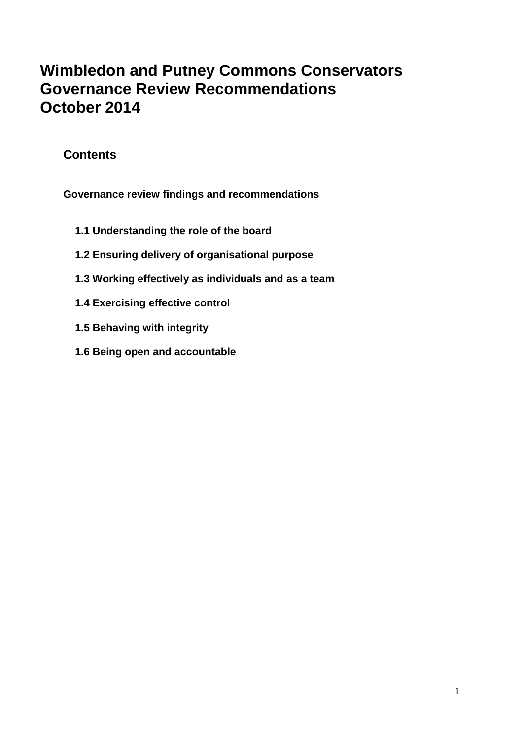# **Wimbledon and Putney Commons Conservators Governance Review Recommendations October 2014**

# **Contents**

**Governance review findings and recommendations**

- **1.1 Understanding the role of the board**
- **1.2 Ensuring delivery of organisational purpose**
- **1.3 Working effectively as individuals and as a team**
- **1.4 Exercising effective control**
- **1.5 Behaving with integrity**
- **1.6 Being open and accountable**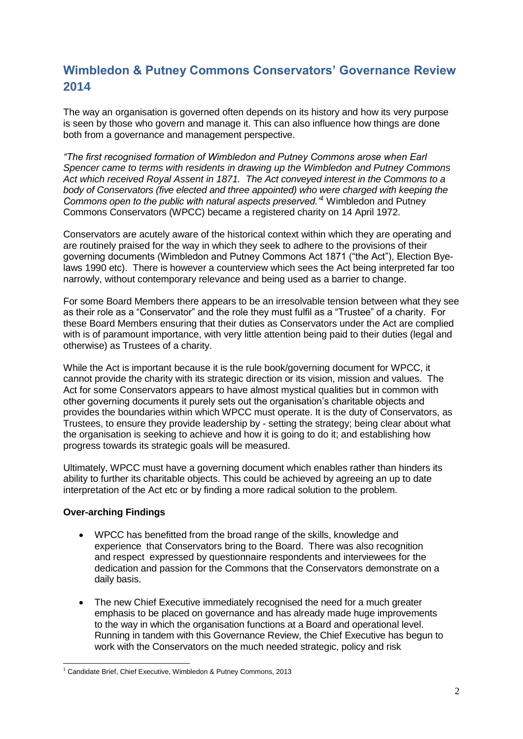# **Wimbledon & Putney Commons Conservators' Governance Review 2014**

The way an organisation is governed often depends on its history and how its very purpose is seen by those who govern and manage it. This can also influence how things are done both from a governance and management perspective.

*"The first recognised formation of Wimbledon and Putney Commons arose when Earl Spencer came to terms with residents in drawing up the Wimbledon and Putney Commons Act which received Royal Assent in 1871. The Act conveyed interest in the Commons to a body of Conservators (five elected and three appointed) who were charged with keeping the Commons open to the public with natural aspects preserved."<sup>1</sup>* Wimbledon and Putney Commons Conservators (WPCC) became a registered charity on 14 April 1972.

Conservators are acutely aware of the historical context within which they are operating and are routinely praised for the way in which they seek to adhere to the provisions of their governing documents (Wimbledon and Putney Commons Act 1871 ("the Act"), Election Byelaws 1990 etc). There is however a counterview which sees the Act being interpreted far too narrowly, without contemporary relevance and being used as a barrier to change.

For some Board Members there appears to be an irresolvable tension between what they see as their role as a "Conservator" and the role they must fulfil as a "Trustee" of a charity. For these Board Members ensuring that their duties as Conservators under the Act are complied with is of paramount importance, with very little attention being paid to their duties (legal and otherwise) as Trustees of a charity.

While the Act is important because it is the rule book/governing document for WPCC, it cannot provide the charity with its strategic direction or its vision, mission and values. The Act for some Conservators appears to have almost mystical qualities but in common with other governing documents it purely sets out the organisation's charitable objects and provides the boundaries within which WPCC must operate. It is the duty of Conservators, as Trustees, to ensure they provide leadership by - setting the strategy; being clear about what the organisation is seeking to achieve and how it is going to do it; and establishing how progress towards its strategic goals will be measured.

Ultimately, WPCC must have a governing document which enables rather than hinders its ability to further its charitable objects. This could be achieved by agreeing an up to date interpretation of the Act etc or by finding a more radical solution to the problem.

# **Over-arching Findings**

-

- WPCC has benefitted from the broad range of the skills, knowledge and experience that Conservators bring to the Board. There was also recognition and respect expressed by questionnaire respondents and interviewees for the dedication and passion for the Commons that the Conservators demonstrate on a daily basis.
- The new Chief Executive immediately recognised the need for a much greater emphasis to be placed on governance and has already made huge improvements to the way in which the organisation functions at a Board and operational level. Running in tandem with this Governance Review, the Chief Executive has begun to work with the Conservators on the much needed strategic, policy and risk

<sup>&</sup>lt;sup>1</sup> Candidate Brief, Chief Executive, Wimbledon & Putney Commons, 2013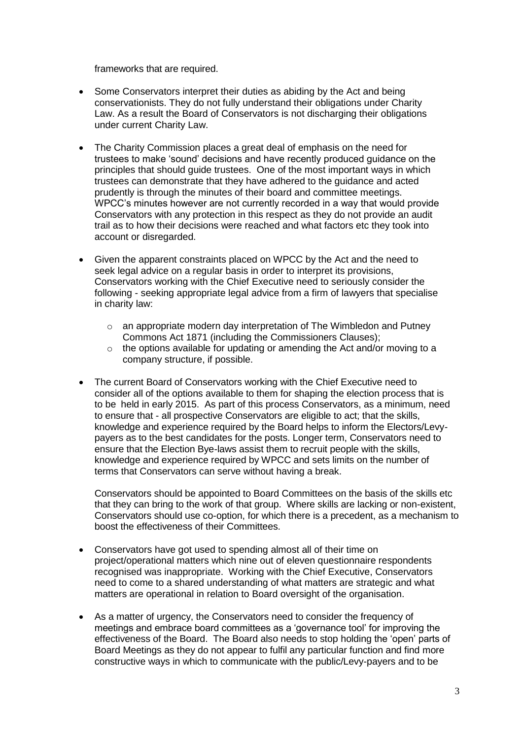frameworks that are required.

- Some Conservators interpret their duties as abiding by the Act and being conservationists. They do not fully understand their obligations under Charity Law. As a result the Board of Conservators is not discharging their obligations under current Charity Law.
- The Charity Commission places a great deal of emphasis on the need for trustees to make 'sound' decisions and have recently produced guidance on the principles that should guide trustees. One of the most important ways in which trustees can demonstrate that they have adhered to the guidance and acted prudently is through the minutes of their board and committee meetings. WPCC's minutes however are not currently recorded in a way that would provide Conservators with any protection in this respect as they do not provide an audit trail as to how their decisions were reached and what factors etc they took into account or disregarded.
- Given the apparent constraints placed on WPCC by the Act and the need to seek legal advice on a regular basis in order to interpret its provisions, Conservators working with the Chief Executive need to seriously consider the following - seeking appropriate legal advice from a firm of lawyers that specialise in charity law:
	- $\circ$  an appropriate modern day interpretation of The Wimbledon and Putney Commons Act 1871 (including the Commissioners Clauses);
	- o the options available for updating or amending the Act and/or moving to a company structure, if possible.
- The current Board of Conservators working with the Chief Executive need to consider all of the options available to them for shaping the election process that is to be held in early 2015. As part of this process Conservators, as a minimum, need to ensure that - all prospective Conservators are eligible to act; that the skills, knowledge and experience required by the Board helps to inform the Electors/Levypayers as to the best candidates for the posts. Longer term, Conservators need to ensure that the Election Bye-laws assist them to recruit people with the skills, knowledge and experience required by WPCC and sets limits on the number of terms that Conservators can serve without having a break.

Conservators should be appointed to Board Committees on the basis of the skills etc that they can bring to the work of that group. Where skills are lacking or non-existent, Conservators should use co-option, for which there is a precedent, as a mechanism to boost the effectiveness of their Committees.

- Conservators have got used to spending almost all of their time on project/operational matters which nine out of eleven questionnaire respondents recognised was inappropriate. Working with the Chief Executive, Conservators need to come to a shared understanding of what matters are strategic and what matters are operational in relation to Board oversight of the organisation.
- As a matter of urgency, the Conservators need to consider the frequency of meetings and embrace board committees as a 'governance tool' for improving the effectiveness of the Board. The Board also needs to stop holding the 'open' parts of Board Meetings as they do not appear to fulfil any particular function and find more constructive ways in which to communicate with the public/Levy-payers and to be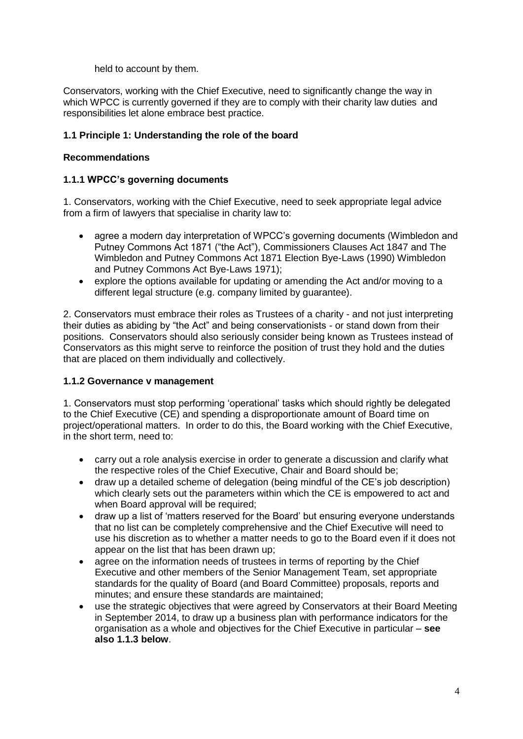held to account by them.

Conservators, working with the Chief Executive, need to significantly change the way in which WPCC is currently governed if they are to comply with their charity law duties and responsibilities let alone embrace best practice.

# **1.1 Principle 1: Understanding the role of the board**

# **Recommendations**

# **1.1.1 WPCC's governing documents**

1. Conservators, working with the Chief Executive, need to seek appropriate legal advice from a firm of lawyers that specialise in charity law to:

- agree a modern day interpretation of WPCC's governing documents (Wimbledon and Putney Commons Act 1871 ("the Act"), Commissioners Clauses Act 1847 and The Wimbledon and Putney Commons Act 1871 Election Bye-Laws (1990) Wimbledon and Putney Commons Act Bye-Laws 1971);
- explore the options available for updating or amending the Act and/or moving to a different legal structure (e.g. company limited by guarantee).

2. Conservators must embrace their roles as Trustees of a charity - and not just interpreting their duties as abiding by "the Act" and being conservationists - or stand down from their positions. Conservators should also seriously consider being known as Trustees instead of Conservators as this might serve to reinforce the position of trust they hold and the duties that are placed on them individually and collectively.

# **1.1.2 Governance v management**

1. Conservators must stop performing 'operational' tasks which should rightly be delegated to the Chief Executive (CE) and spending a disproportionate amount of Board time on project/operational matters. In order to do this, the Board working with the Chief Executive, in the short term, need to:

- carry out a role analysis exercise in order to generate a discussion and clarify what the respective roles of the Chief Executive, Chair and Board should be;
- draw up a detailed scheme of delegation (being mindful of the CE's job description) which clearly sets out the parameters within which the CE is empowered to act and when Board approval will be required:
- draw up a list of 'matters reserved for the Board' but ensuring everyone understands that no list can be completely comprehensive and the Chief Executive will need to use his discretion as to whether a matter needs to go to the Board even if it does not appear on the list that has been drawn up;
- agree on the information needs of trustees in terms of reporting by the Chief Executive and other members of the Senior Management Team, set appropriate standards for the quality of Board (and Board Committee) proposals, reports and minutes; and ensure these standards are maintained;
- use the strategic objectives that were agreed by Conservators at their Board Meeting in September 2014, to draw up a business plan with performance indicators for the organisation as a whole and objectives for the Chief Executive in particular – **see also 1.1.3 below**.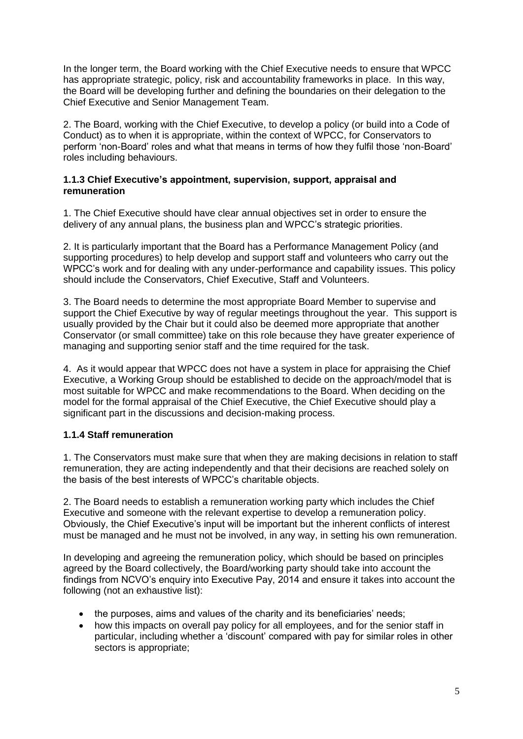In the longer term, the Board working with the Chief Executive needs to ensure that WPCC has appropriate strategic, policy, risk and accountability frameworks in place. In this way, the Board will be developing further and defining the boundaries on their delegation to the Chief Executive and Senior Management Team.

2. The Board, working with the Chief Executive, to develop a policy (or build into a Code of Conduct) as to when it is appropriate, within the context of WPCC, for Conservators to perform 'non-Board' roles and what that means in terms of how they fulfil those 'non-Board' roles including behaviours.

# **1.1.3 Chief Executive's appointment, supervision, support, appraisal and remuneration**

1. The Chief Executive should have clear annual objectives set in order to ensure the delivery of any annual plans, the business plan and WPCC's strategic priorities.

2. It is particularly important that the Board has a Performance Management Policy (and supporting procedures) to help develop and support staff and volunteers who carry out the WPCC's work and for dealing with any under-performance and capability issues. This policy should include the Conservators, Chief Executive, Staff and Volunteers.

3. The Board needs to determine the most appropriate Board Member to supervise and support the Chief Executive by way of regular meetings throughout the year. This support is usually provided by the Chair but it could also be deemed more appropriate that another Conservator (or small committee) take on this role because they have greater experience of managing and supporting senior staff and the time required for the task.

4. As it would appear that WPCC does not have a system in place for appraising the Chief Executive, a Working Group should be established to decide on the approach/model that is most suitable for WPCC and make recommendations to the Board. When deciding on the model for the formal appraisal of the Chief Executive, the Chief Executive should play a significant part in the discussions and decision-making process.

# **1.1.4 Staff remuneration**

1. The Conservators must make sure that when they are making decisions in relation to staff remuneration, they are acting independently and that their decisions are reached solely on the basis of the best interests of WPCC's charitable objects.

2. The Board needs to establish a remuneration working party which includes the Chief Executive and someone with the relevant expertise to develop a remuneration policy. Obviously, the Chief Executive's input will be important but the inherent conflicts of interest must be managed and he must not be involved, in any way, in setting his own remuneration.

In developing and agreeing the remuneration policy, which should be based on principles agreed by the Board collectively, the Board/working party should take into account the findings from NCVO's enquiry into Executive Pay, 2014 and ensure it takes into account the following (not an exhaustive list):

- the purposes, aims and values of the charity and its beneficiaries' needs;
- how this impacts on overall pay policy for all employees, and for the senior staff in particular, including whether a 'discount' compared with pay for similar roles in other sectors is appropriate;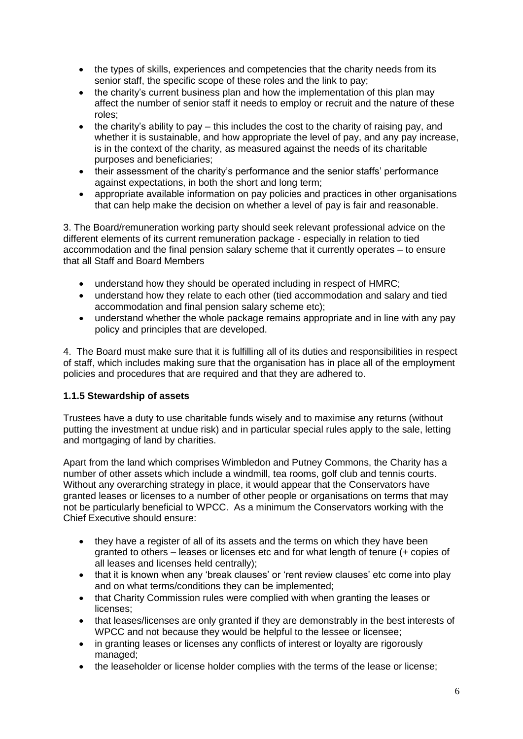- the types of skills, experiences and competencies that the charity needs from its senior staff, the specific scope of these roles and the link to pay;
- the charity's current business plan and how the implementation of this plan may affect the number of senior staff it needs to employ or recruit and the nature of these roles;
- $\bullet$  the charity's ability to pay this includes the cost to the charity of raising pay, and whether it is sustainable, and how appropriate the level of pay, and any pay increase, is in the context of the charity, as measured against the needs of its charitable purposes and beneficiaries;
- their assessment of the charity's performance and the senior staffs' performance against expectations, in both the short and long term;
- appropriate available information on pay policies and practices in other organisations that can help make the decision on whether a level of pay is fair and reasonable.

3. The Board/remuneration working party should seek relevant professional advice on the different elements of its current remuneration package - especially in relation to tied accommodation and the final pension salary scheme that it currently operates – to ensure that all Staff and Board Members

- understand how they should be operated including in respect of HMRC;
- understand how they relate to each other (tied accommodation and salary and tied accommodation and final pension salary scheme etc);
- understand whether the whole package remains appropriate and in line with any pay policy and principles that are developed.

4. The Board must make sure that it is fulfilling all of its duties and responsibilities in respect of staff, which includes making sure that the organisation has in place all of the employment policies and procedures that are required and that they are adhered to.

# **1.1.5 Stewardship of assets**

Trustees have a duty to use charitable funds wisely and to maximise any returns (without putting the investment at undue risk) and in particular special rules apply to the sale, letting and mortgaging of land by charities.

Apart from the land which comprises Wimbledon and Putney Commons, the Charity has a number of other assets which include a windmill, tea rooms, golf club and tennis courts. Without any overarching strategy in place, it would appear that the Conservators have granted leases or licenses to a number of other people or organisations on terms that may not be particularly beneficial to WPCC. As a minimum the Conservators working with the Chief Executive should ensure:

- they have a register of all of its assets and the terms on which they have been granted to others – leases or licenses etc and for what length of tenure (+ copies of all leases and licenses held centrally);
- that it is known when any 'break clauses' or 'rent review clauses' etc come into play and on what terms/conditions they can be implemented;
- that Charity Commission rules were complied with when granting the leases or licenses;
- that leases/licenses are only granted if they are demonstrably in the best interests of WPCC and not because they would be helpful to the lessee or licensee;
- in granting leases or licenses any conflicts of interest or loyalty are rigorously managed;
- the leaseholder or license holder complies with the terms of the lease or license;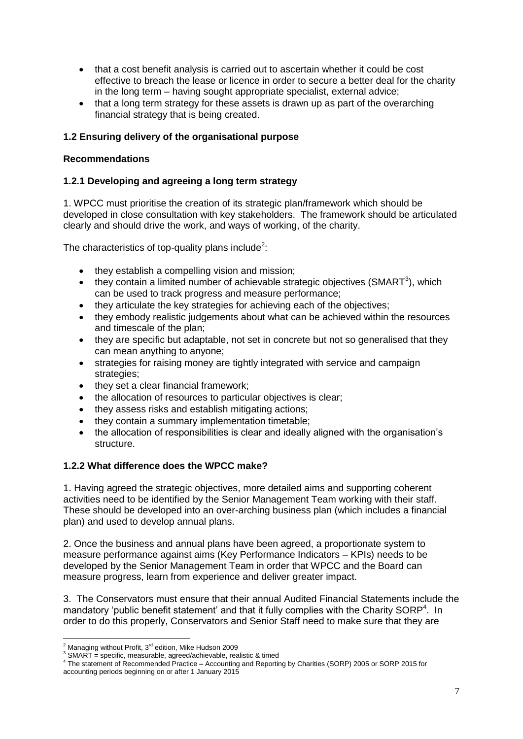- that a cost benefit analysis is carried out to ascertain whether it could be cost effective to breach the lease or licence in order to secure a better deal for the charity in the long term – having sought appropriate specialist, external advice;
- that a long term strategy for these assets is drawn up as part of the overarching financial strategy that is being created.

# **1.2 Ensuring delivery of the organisational purpose**

# **Recommendations**

# **1.2.1 Developing and agreeing a long term strategy**

1. WPCC must prioritise the creation of its strategic plan/framework which should be developed in close consultation with key stakeholders. The framework should be articulated clearly and should drive the work, and ways of working, of the charity.

The characteristics of top-quality plans include<sup>2</sup>:

- they establish a compelling vision and mission;
- $\bullet$  they contain a limited number of achievable strategic objectives (SMART<sup>3</sup>), which can be used to track progress and measure performance;
- they articulate the key strategies for achieving each of the objectives;
- they embody realistic judgements about what can be achieved within the resources and timescale of the plan;
- they are specific but adaptable, not set in concrete but not so generalised that they can mean anything to anyone;
- strategies for raising money are tightly integrated with service and campaign strategies;
- they set a clear financial framework;
- the allocation of resources to particular objectives is clear;
- they assess risks and establish mitigating actions:
- they contain a summary implementation timetable;
- the allocation of responsibilities is clear and ideally aligned with the organisation's structure.

# **1.2.2 What difference does the WPCC make?**

1. Having agreed the strategic objectives, more detailed aims and supporting coherent activities need to be identified by the Senior Management Team working with their staff. These should be developed into an over-arching business plan (which includes a financial plan) and used to develop annual plans.

2. Once the business and annual plans have been agreed, a proportionate system to measure performance against aims (Key Performance Indicators – KPIs) needs to be developed by the Senior Management Team in order that WPCC and the Board can measure progress, learn from experience and deliver greater impact.

3. The Conservators must ensure that their annual Audited Financial Statements include the mandatory 'public benefit statement' and that it fully complies with the Charity SORP<sup>4</sup>. In order to do this properly, Conservators and Senior Staff need to make sure that they are

<sup>1</sup>  $2$  Managing without Profit,  $3<sup>rd</sup>$  edition, Mike Hudson 2009

 $3$  SMART = specific, measurable, agreed/achievable, realistic & timed

<sup>&</sup>lt;sup>4</sup> The statement of Recommended Practice – Accounting and Reporting by Charities (SORP) 2005 or SORP 2015 for accounting periods beginning on or after 1 January 2015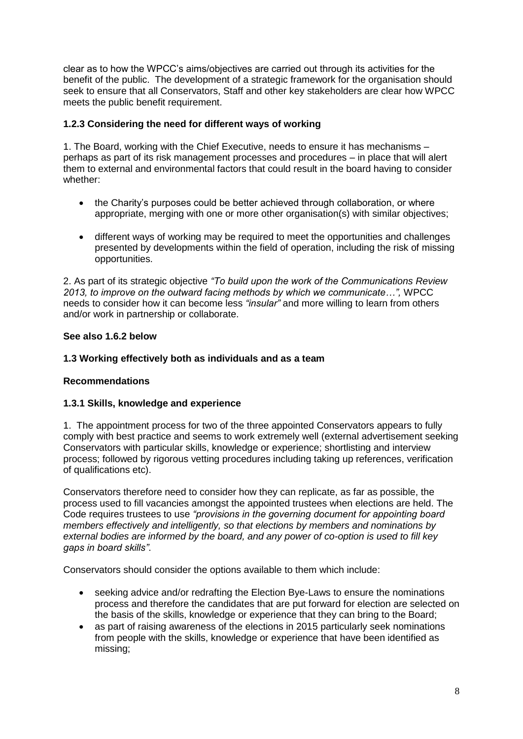clear as to how the WPCC's aims/objectives are carried out through its activities for the benefit of the public. The development of a strategic framework for the organisation should seek to ensure that all Conservators, Staff and other key stakeholders are clear how WPCC meets the public benefit requirement.

# **1.2.3 Considering the need for different ways of working**

1. The Board, working with the Chief Executive, needs to ensure it has mechanisms – perhaps as part of its risk management processes and procedures – in place that will alert them to external and environmental factors that could result in the board having to consider whether:

- the Charity's purposes could be better achieved through collaboration, or where appropriate, merging with one or more other organisation(s) with similar objectives;
- different ways of working may be required to meet the opportunities and challenges presented by developments within the field of operation, including the risk of missing opportunities.

2. As part of its strategic objective *"To build upon the work of the Communications Review 2013, to improve on the outward facing methods by which we communicate…",* WPCC needs to consider how it can become less *"insular"* and more willing to learn from others and/or work in partnership or collaborate.

# **See also 1.6.2 below**

# **1.3 Working effectively both as individuals and as a team**

# **Recommendations**

# **1.3.1 Skills, knowledge and experience**

1. The appointment process for two of the three appointed Conservators appears to fully comply with best practice and seems to work extremely well (external advertisement seeking Conservators with particular skills, knowledge or experience; shortlisting and interview process; followed by rigorous vetting procedures including taking up references, verification of qualifications etc).

Conservators therefore need to consider how they can replicate, as far as possible, the process used to fill vacancies amongst the appointed trustees when elections are held. The Code requires trustees to use *"provisions in the governing document for appointing board members effectively and intelligently, so that elections by members and nominations by external bodies are informed by the board, and any power of co-option is used to fill key gaps in board skills"*.

Conservators should consider the options available to them which include:

- seeking advice and/or redrafting the Election Bye-Laws to ensure the nominations process and therefore the candidates that are put forward for election are selected on the basis of the skills, knowledge or experience that they can bring to the Board;
- as part of raising awareness of the elections in 2015 particularly seek nominations from people with the skills, knowledge or experience that have been identified as missing;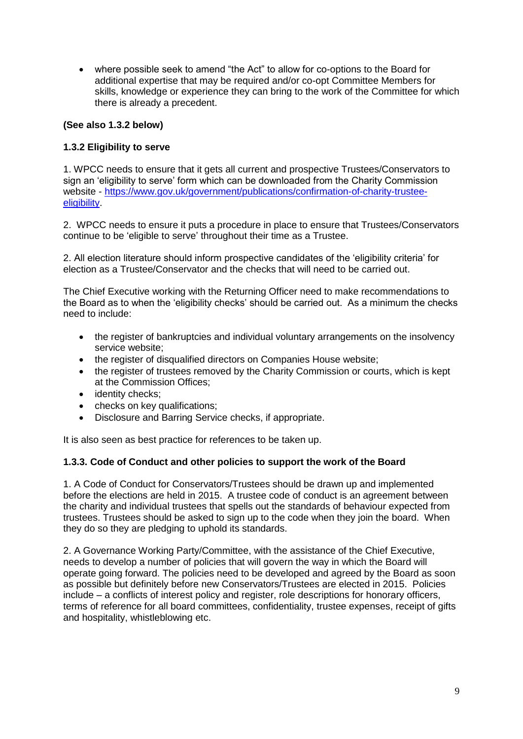where possible seek to amend "the Act" to allow for co-options to the Board for additional expertise that may be required and/or co-opt Committee Members for skills, knowledge or experience they can bring to the work of the Committee for which there is already a precedent.

# **(See also 1.3.2 below)**

# **1.3.2 Eligibility to serve**

1. WPCC needs to ensure that it gets all current and prospective Trustees/Conservators to sign an 'eligibility to serve' form which can be downloaded from the Charity Commission website - [https://www.gov.uk/government/publications/confirmation-of-charity-trustee](https://www.gov.uk/government/publications/confirmation-of-charity-trustee-eligibility)[eligibility.](https://www.gov.uk/government/publications/confirmation-of-charity-trustee-eligibility)

2. WPCC needs to ensure it puts a procedure in place to ensure that Trustees/Conservators continue to be 'eligible to serve' throughout their time as a Trustee.

2. All election literature should inform prospective candidates of the 'eligibility criteria' for election as a Trustee/Conservator and the checks that will need to be carried out.

The Chief Executive working with the Returning Officer need to make recommendations to the Board as to when the 'eligibility checks' should be carried out. As a minimum the checks need to include:

- the register of bankruptcies and individual voluntary arrangements on the insolvency service website;
- the register of disqualified directors on Companies House website;
- the register of trustees removed by the Charity Commission or courts, which is kept at the Commission Offices;
- identity checks;
- checks on key qualifications;
- Disclosure and Barring Service checks, if appropriate.

It is also seen as best practice for references to be taken up.

# **1.3.3. Code of Conduct and other policies to support the work of the Board**

1. A Code of Conduct for Conservators/Trustees should be drawn up and implemented before the elections are held in 2015. A trustee code of conduct is an agreement between the charity and individual trustees that spells out the standards of behaviour expected from trustees. Trustees should be asked to sign up to the code when they join the board. When they do so they are pledging to uphold its standards.

2. A Governance Working Party/Committee, with the assistance of the Chief Executive, needs to develop a number of policies that will govern the way in which the Board will operate going forward. The policies need to be developed and agreed by the Board as soon as possible but definitely before new Conservators/Trustees are elected in 2015. Policies include – a conflicts of interest policy and register, role descriptions for honorary officers, terms of reference for all board committees, confidentiality, trustee expenses, receipt of gifts and hospitality, whistleblowing etc.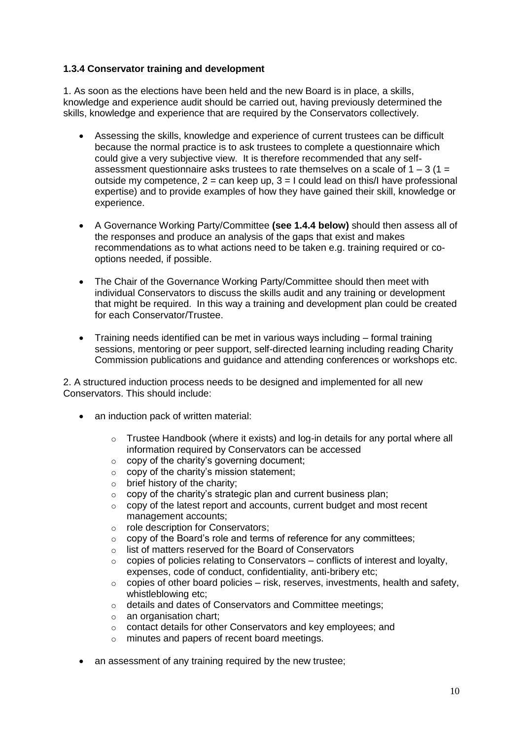# **1.3.4 Conservator training and development**

1. As soon as the elections have been held and the new Board is in place, a skills, knowledge and experience audit should be carried out, having previously determined the skills, knowledge and experience that are required by the Conservators collectively.

- Assessing the skills, knowledge and experience of current trustees can be difficult because the normal practice is to ask trustees to complete a questionnaire which could give a very subjective view. It is therefore recommended that any selfassessment questionnaire asks trustees to rate themselves on a scale of  $1 - 3$  ( $1 = 1$ ) outside my competence,  $2 = \text{can keep up}$ ,  $3 = I$  could lead on this/I have professional expertise) and to provide examples of how they have gained their skill, knowledge or experience.
- A Governance Working Party/Committee **(see 1.4.4 below)** should then assess all of the responses and produce an analysis of the gaps that exist and makes recommendations as to what actions need to be taken e.g. training required or cooptions needed, if possible.
- The Chair of the Governance Working Party/Committee should then meet with individual Conservators to discuss the skills audit and any training or development that might be required. In this way a training and development plan could be created for each Conservator/Trustee.
- Training needs identified can be met in various ways including formal training sessions, mentoring or peer support, self-directed learning including reading Charity Commission publications and guidance and attending conferences or workshops etc.

2. A structured induction process needs to be designed and implemented for all new Conservators. This should include:

- an induction pack of written material:
	- $\circ$  Trustee Handbook (where it exists) and log-in details for any portal where all information required by Conservators can be accessed
	- $\circ$  copy of the charity's governing document;
	- $\circ$  copy of the charity's mission statement;
	- $\circ$  brief history of the charity;
	- $\circ$  copy of the charity's strategic plan and current business plan;
	- $\circ$  copy of the latest report and accounts, current budget and most recent management accounts;
	- o role description for Conservators;
	- o copy of the Board's role and terms of reference for any committees;
	- o list of matters reserved for the Board of Conservators
	- $\circ$  copies of policies relating to Conservators conflicts of interest and loyalty, expenses, code of conduct, confidentiality, anti-bribery etc;
	- $\circ$  copies of other board policies risk, reserves, investments, health and safety, whistleblowing etc:
	- o details and dates of Conservators and Committee meetings;
	- $\circ$  an organisation chart;
	- o contact details for other Conservators and key employees; and
	- o minutes and papers of recent board meetings.
- an assessment of any training required by the new trustee;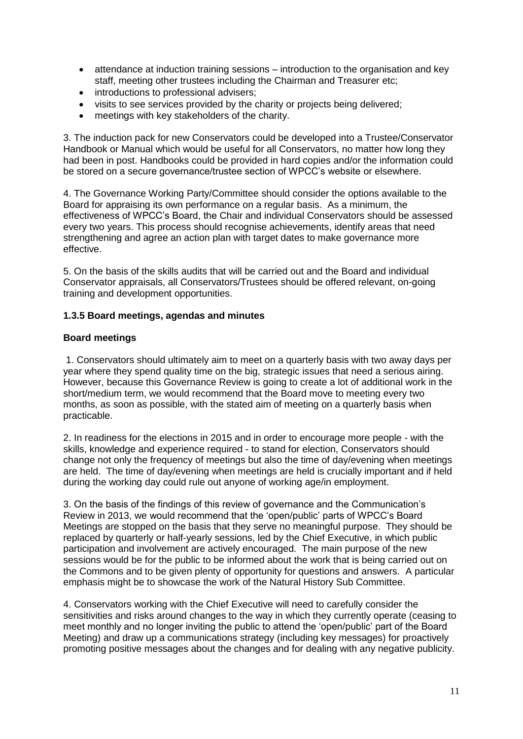- attendance at induction training sessions introduction to the organisation and key staff, meeting other trustees including the Chairman and Treasurer etc;
- introductions to professional advisers:
- visits to see services provided by the charity or projects being delivered;
- meetings with key stakeholders of the charity.

3. The induction pack for new Conservators could be developed into a Trustee/Conservator Handbook or Manual which would be useful for all Conservators, no matter how long they had been in post. Handbooks could be provided in hard copies and/or the information could be stored on a secure governance/trustee section of WPCC's website or elsewhere.

4. The Governance Working Party/Committee should consider the options available to the Board for appraising its own performance on a regular basis. As a minimum, the effectiveness of WPCC's Board, the Chair and individual Conservators should be assessed every two years. This process should recognise achievements, identify areas that need strengthening and agree an action plan with target dates to make governance more effective.

5. On the basis of the skills audits that will be carried out and the Board and individual Conservator appraisals, all Conservators/Trustees should be offered relevant, on-going training and development opportunities.

# **1.3.5 Board meetings, agendas and minutes**

# **Board meetings**

1. Conservators should ultimately aim to meet on a quarterly basis with two away days per year where they spend quality time on the big, strategic issues that need a serious airing. However, because this Governance Review is going to create a lot of additional work in the short/medium term, we would recommend that the Board move to meeting every two months, as soon as possible, with the stated aim of meeting on a quarterly basis when practicable.

2. In readiness for the elections in 2015 and in order to encourage more people - with the skills, knowledge and experience required - to stand for election, Conservators should change not only the frequency of meetings but also the time of day/evening when meetings are held. The time of day/evening when meetings are held is crucially important and if held during the working day could rule out anyone of working age/in employment.

3. On the basis of the findings of this review of governance and the Communication's Review in 2013, we would recommend that the 'open/public' parts of WPCC's Board Meetings are stopped on the basis that they serve no meaningful purpose. They should be replaced by quarterly or half-yearly sessions, led by the Chief Executive, in which public participation and involvement are actively encouraged. The main purpose of the new sessions would be for the public to be informed about the work that is being carried out on the Commons and to be given plenty of opportunity for questions and answers. A particular emphasis might be to showcase the work of the Natural History Sub Committee.

4. Conservators working with the Chief Executive will need to carefully consider the sensitivities and risks around changes to the way in which they currently operate (ceasing to meet monthly and no longer inviting the public to attend the 'open/public' part of the Board Meeting) and draw up a communications strategy (including key messages) for proactively promoting positive messages about the changes and for dealing with any negative publicity.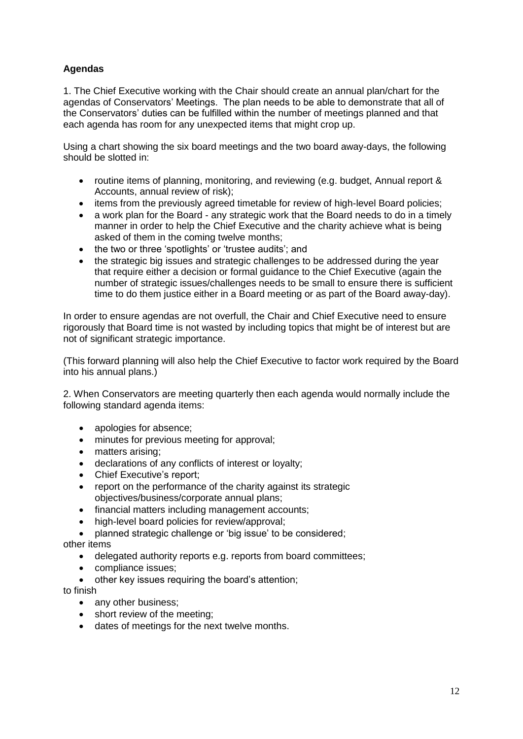# **Agendas**

1. The Chief Executive working with the Chair should create an annual plan/chart for the agendas of Conservators' Meetings. The plan needs to be able to demonstrate that all of the Conservators' duties can be fulfilled within the number of meetings planned and that each agenda has room for any unexpected items that might crop up.

Using a chart showing the six board meetings and the two board away-days, the following should be slotted in:

- routine items of planning, monitoring, and reviewing (e.g. budget, Annual report & Accounts, annual review of risk);
- items from the previously agreed timetable for review of high-level Board policies;
- a work plan for the Board any strategic work that the Board needs to do in a timely manner in order to help the Chief Executive and the charity achieve what is being asked of them in the coming twelve months;
- the two or three 'spotlights' or 'trustee audits'; and
- the strategic big issues and strategic challenges to be addressed during the year that require either a decision or formal guidance to the Chief Executive (again the number of strategic issues/challenges needs to be small to ensure there is sufficient time to do them justice either in a Board meeting or as part of the Board away-day).

In order to ensure agendas are not overfull, the Chair and Chief Executive need to ensure rigorously that Board time is not wasted by including topics that might be of interest but are not of significant strategic importance.

(This forward planning will also help the Chief Executive to factor work required by the Board into his annual plans.)

2. When Conservators are meeting quarterly then each agenda would normally include the following standard agenda items:

- apologies for absence:
- minutes for previous meeting for approval;
- matters arising;
- declarations of any conflicts of interest or loyalty;
- Chief Executive's report;
- report on the performance of the charity against its strategic objectives/business/corporate annual plans;
- financial matters including management accounts;
- high-level board policies for review/approval;

 planned strategic challenge or 'big issue' to be considered; other items

- delegated authority reports e.g. reports from board committees;
- compliance issues;
- other key issues requiring the board's attention;

to finish

- any other business:
- short review of the meeting:
- dates of meetings for the next twelve months.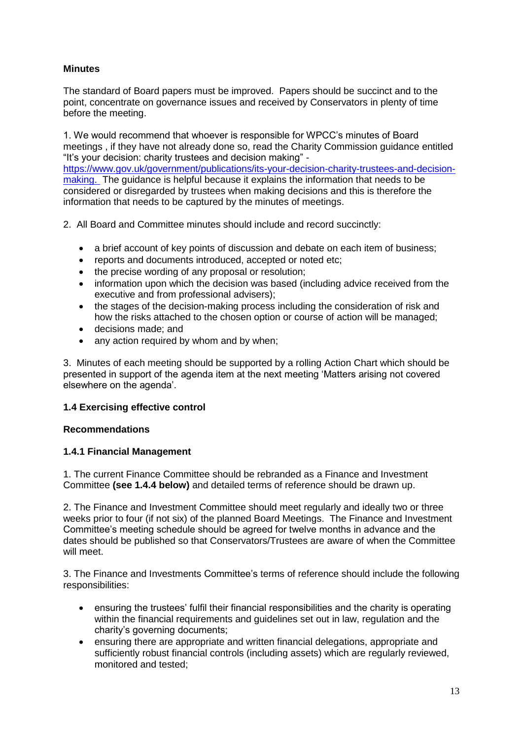# **Minutes**

The standard of Board papers must be improved. Papers should be succinct and to the point, concentrate on governance issues and received by Conservators in plenty of time before the meeting.

1. We would recommend that whoever is responsible for WPCC's minutes of Board meetings , if they have not already done so, read the Charity Commission guidance entitled "It's your decision: charity trustees and decision making" -

[https://www.gov.uk/government/publications/its-your-decision-charity-trustees-and-decision](https://www.gov.uk/government/publications/its-your-decision-charity-trustees-and-decision-making)[making.](https://www.gov.uk/government/publications/its-your-decision-charity-trustees-and-decision-making) The guidance is helpful because it explains the information that needs to be considered or disregarded by trustees when making decisions and this is therefore the information that needs to be captured by the minutes of meetings.

- 2. All Board and Committee minutes should include and record succinctly:
	- a brief account of key points of discussion and debate on each item of business;
	- reports and documents introduced, accepted or noted etc;
	- the precise wording of any proposal or resolution;
	- information upon which the decision was based (including advice received from the executive and from professional advisers);
	- the stages of the decision-making process including the consideration of risk and how the risks attached to the chosen option or course of action will be managed;
	- decisions made; and
	- any action required by whom and by when;

3. Minutes of each meeting should be supported by a rolling Action Chart which should be presented in support of the agenda item at the next meeting 'Matters arising not covered elsewhere on the agenda'.

# **1.4 Exercising effective control**

# **Recommendations**

# **1.4.1 Financial Management**

1. The current Finance Committee should be rebranded as a Finance and Investment Committee **(see 1.4.4 below)** and detailed terms of reference should be drawn up.

2. The Finance and Investment Committee should meet regularly and ideally two or three weeks prior to four (if not six) of the planned Board Meetings. The Finance and Investment Committee's meeting schedule should be agreed for twelve months in advance and the dates should be published so that Conservators/Trustees are aware of when the Committee will meet.

3. The Finance and Investments Committee's terms of reference should include the following responsibilities:

- ensuring the trustees' fulfil their financial responsibilities and the charity is operating within the financial requirements and guidelines set out in law, regulation and the charity's governing documents;
- ensuring there are appropriate and written financial delegations, appropriate and sufficiently robust financial controls (including assets) which are regularly reviewed, monitored and tested;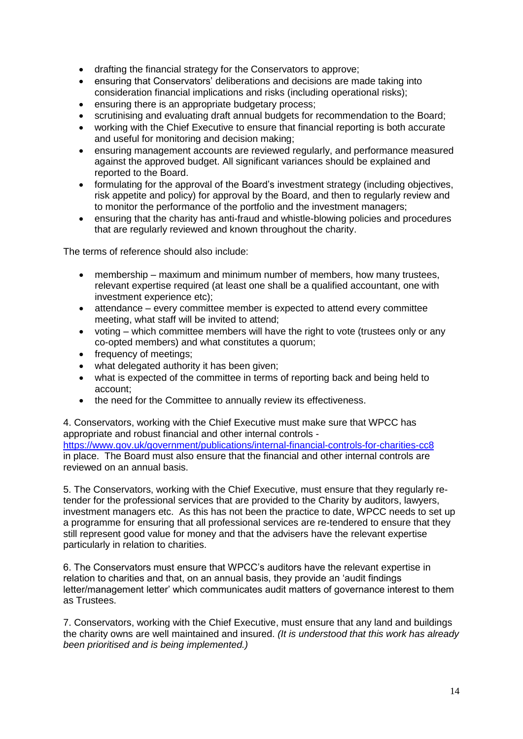- drafting the financial strategy for the Conservators to approve;
- ensuring that Conservators' deliberations and decisions are made taking into consideration financial implications and risks (including operational risks);
- ensuring there is an appropriate budgetary process;
- scrutinising and evaluating draft annual budgets for recommendation to the Board;
- working with the Chief Executive to ensure that financial reporting is both accurate and useful for monitoring and decision making;
- ensuring management accounts are reviewed regularly, and performance measured against the approved budget. All significant variances should be explained and reported to the Board.
- formulating for the approval of the Board's investment strategy (including objectives, risk appetite and policy) for approval by the Board, and then to regularly review and to monitor the performance of the portfolio and the investment managers;
- ensuring that the charity has anti-fraud and whistle-blowing policies and procedures that are regularly reviewed and known throughout the charity.

The terms of reference should also include:

- membership maximum and minimum number of members, how many trustees, relevant expertise required (at least one shall be a qualified accountant, one with investment experience etc);
- attendance every committee member is expected to attend every committee meeting, what staff will be invited to attend;
- voting which committee members will have the right to vote (trustees only or any co-opted members) and what constitutes a quorum;
- frequency of meetings:
- what delegated authority it has been given:
- what is expected of the committee in terms of reporting back and being held to account;
- the need for the Committee to annually review its effectiveness.

4. Conservators, working with the Chief Executive must make sure that WPCC has appropriate and robust financial and other internal controls <https://www.gov.uk/government/publications/internal-financial-controls-for-charities-cc8> in place. The Board must also ensure that the financial and other internal controls are reviewed on an annual basis.

5. The Conservators, working with the Chief Executive, must ensure that they regularly retender for the professional services that are provided to the Charity by auditors, lawyers, investment managers etc. As this has not been the practice to date, WPCC needs to set up a programme for ensuring that all professional services are re-tendered to ensure that they still represent good value for money and that the advisers have the relevant expertise particularly in relation to charities.

6. The Conservators must ensure that WPCC's auditors have the relevant expertise in relation to charities and that, on an annual basis, they provide an 'audit findings letter/management letter' which communicates audit matters of governance interest to them as Trustees.

7. Conservators, working with the Chief Executive, must ensure that any land and buildings the charity owns are well maintained and insured. *(It is understood that this work has already been prioritised and is being implemented.)*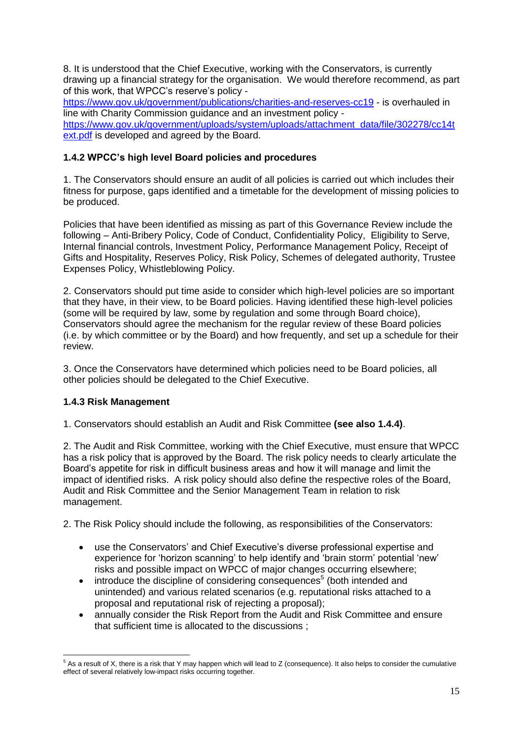8. It is understood that the Chief Executive, working with the Conservators, is currently drawing up a financial strategy for the organisation. We would therefore recommend, as part of this work, that WPCC's reserve's policy -

<https://www.gov.uk/government/publications/charities-and-reserves-cc19> - is overhauled in line with Charity Commission guidance and an investment policy [https://www.gov.uk/government/uploads/system/uploads/attachment\\_data/file/302278/cc14t](https://www.gov.uk/government/uploads/system/uploads/attachment_data/file/302278/cc14text.pdf)

[ext.pdf](https://www.gov.uk/government/uploads/system/uploads/attachment_data/file/302278/cc14text.pdf) is developed and agreed by the Board.

# **1.4.2 WPCC's high level Board policies and procedures**

1. The Conservators should ensure an audit of all policies is carried out which includes their fitness for purpose, gaps identified and a timetable for the development of missing policies to be produced.

Policies that have been identified as missing as part of this Governance Review include the following – Anti-Bribery Policy, Code of Conduct, Confidentiality Policy, Eligibility to Serve, Internal financial controls, Investment Policy, Performance Management Policy, Receipt of Gifts and Hospitality, Reserves Policy, Risk Policy, Schemes of delegated authority, Trustee Expenses Policy, Whistleblowing Policy.

2. Conservators should put time aside to consider which high-level policies are so important that they have, in their view, to be Board policies. Having identified these high-level policies (some will be required by law, some by regulation and some through Board choice), Conservators should agree the mechanism for the regular review of these Board policies (i.e. by which committee or by the Board) and how frequently, and set up a schedule for their review.

3. Once the Conservators have determined which policies need to be Board policies, all other policies should be delegated to the Chief Executive.

# **1.4.3 Risk Management**

1. Conservators should establish an Audit and Risk Committee **(see also 1.4.4)**.

2. The Audit and Risk Committee, working with the Chief Executive, must ensure that WPCC has a risk policy that is approved by the Board. The risk policy needs to clearly articulate the Board's appetite for risk in difficult business areas and how it will manage and limit the impact of identified risks. A risk policy should also define the respective roles of the Board, Audit and Risk Committee and the Senior Management Team in relation to risk management.

2. The Risk Policy should include the following, as responsibilities of the Conservators:

- use the Conservators' and Chief Executive's diverse professional expertise and experience for 'horizon scanning' to help identify and 'brain storm' potential 'new' risks and possible impact on WPCC of major changes occurring elsewhere;
- $\bullet$  introduce the discipline of considering consequences<sup>5</sup> (both intended and unintended) and various related scenarios (e.g. reputational risks attached to a proposal and reputational risk of rejecting a proposal);
- annually consider the Risk Report from the Audit and Risk Committee and ensure that sufficient time is allocated to the discussions ;

<sup>1</sup>  $5$  As a result of X, there is a risk that Y may happen which will lead to Z (consequence). It also helps to consider the cumulative effect of several relatively low-impact risks occurring together.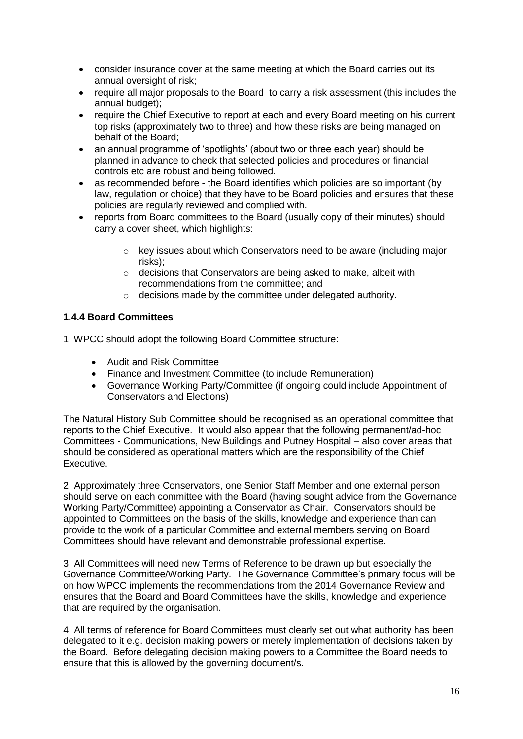- consider insurance cover at the same meeting at which the Board carries out its annual oversight of risk;
- require all major proposals to the Board to carry a risk assessment (this includes the annual budget);
- require the Chief Executive to report at each and every Board meeting on his current top risks (approximately two to three) and how these risks are being managed on behalf of the Board;
- an annual programme of 'spotlights' (about two or three each year) should be planned in advance to check that selected policies and procedures or financial controls etc are robust and being followed.
- as recommended before the Board identifies which policies are so important (by law, regulation or choice) that they have to be Board policies and ensures that these policies are regularly reviewed and complied with.
- reports from Board committees to the Board (usually copy of their minutes) should carry a cover sheet, which highlights:
	- o key issues about which Conservators need to be aware (including major risks);
	- o decisions that Conservators are being asked to make, albeit with recommendations from the committee; and
	- o decisions made by the committee under delegated authority.

# **1.4.4 Board Committees**

1. WPCC should adopt the following Board Committee structure:

- Audit and Risk Committee
- Finance and Investment Committee (to include Remuneration)
- Governance Working Party/Committee (if ongoing could include Appointment of Conservators and Elections)

The Natural History Sub Committee should be recognised as an operational committee that reports to the Chief Executive. It would also appear that the following permanent/ad-hoc Committees - Communications, New Buildings and Putney Hospital – also cover areas that should be considered as operational matters which are the responsibility of the Chief Executive.

2. Approximately three Conservators, one Senior Staff Member and one external person should serve on each committee with the Board (having sought advice from the Governance Working Party/Committee) appointing a Conservator as Chair. Conservators should be appointed to Committees on the basis of the skills, knowledge and experience than can provide to the work of a particular Committee and external members serving on Board Committees should have relevant and demonstrable professional expertise.

3. All Committees will need new Terms of Reference to be drawn up but especially the Governance Committee/Working Party. The Governance Committee's primary focus will be on how WPCC implements the recommendations from the 2014 Governance Review and ensures that the Board and Board Committees have the skills, knowledge and experience that are required by the organisation.

4. All terms of reference for Board Committees must clearly set out what authority has been delegated to it e.g. decision making powers or merely implementation of decisions taken by the Board. Before delegating decision making powers to a Committee the Board needs to ensure that this is allowed by the governing document/s.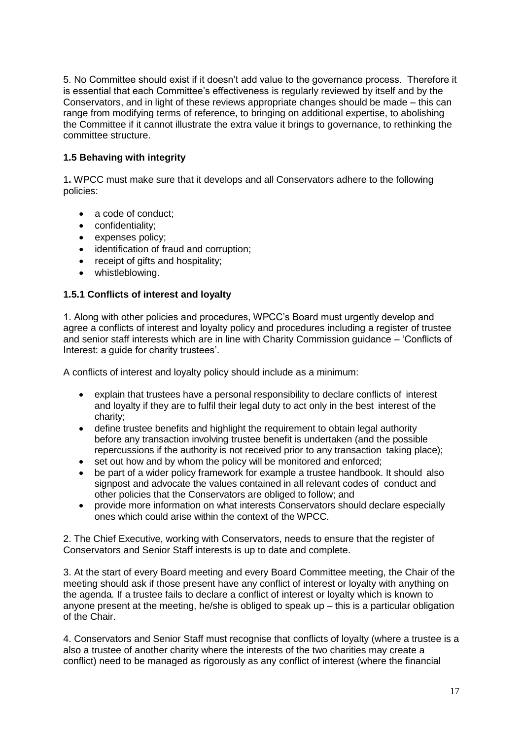5. No Committee should exist if it doesn't add value to the governance process. Therefore it is essential that each Committee's effectiveness is regularly reviewed by itself and by the Conservators, and in light of these reviews appropriate changes should be made – this can range from modifying terms of reference, to bringing on additional expertise, to abolishing the Committee if it cannot illustrate the extra value it brings to governance, to rethinking the committee structure.

# **1.5 Behaving with integrity**

1**.** WPCC must make sure that it develops and all Conservators adhere to the following policies:

- a code of conduct;
- confidentiality;
- expenses policy;
- identification of fraud and corruption;
- receipt of gifts and hospitality;
- whistleblowing.

# **1.5.1 Conflicts of interest and loyalty**

1. Along with other policies and procedures, WPCC's Board must urgently develop and agree a conflicts of interest and loyalty policy and procedures including a register of trustee and senior staff interests which are in line with Charity Commission guidance – 'Conflicts of Interest: a guide for charity trustees'.

A conflicts of interest and loyalty policy should include as a minimum:

- explain that trustees have a personal responsibility to declare conflicts of interest and loyalty if they are to fulfil their legal duty to act only in the best interest of the charity;
- define trustee benefits and highlight the requirement to obtain legal authority before any transaction involving trustee benefit is undertaken (and the possible repercussions if the authority is not received prior to any transaction taking place);
- set out how and by whom the policy will be monitored and enforced;
- be part of a wider policy framework for example a trustee handbook. It should also signpost and advocate the values contained in all relevant codes of conduct and other policies that the Conservators are obliged to follow; and
- provide more information on what interests Conservators should declare especially ones which could arise within the context of the WPCC.

2. The Chief Executive, working with Conservators, needs to ensure that the register of Conservators and Senior Staff interests is up to date and complete.

3. At the start of every Board meeting and every Board Committee meeting, the Chair of the meeting should ask if those present have any conflict of interest or loyalty with anything on the agenda. If a trustee fails to declare a conflict of interest or loyalty which is known to anyone present at the meeting, he/she is obliged to speak up – this is a particular obligation of the Chair.

4. Conservators and Senior Staff must recognise that conflicts of loyalty (where a trustee is a also a trustee of another charity where the interests of the two charities may create a conflict) need to be managed as rigorously as any conflict of interest (where the financial